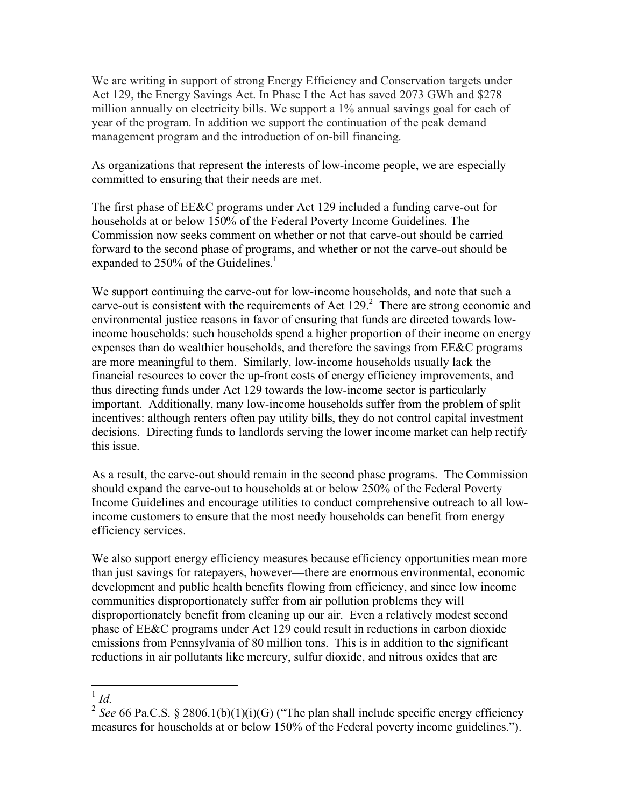We are writing in support of strong Energy Efficiency and Conservation targets under Act 129, the Energy Savings Act. In Phase I the Act has saved 2073 GWh and \$278 million annually on electricity bills. We support a 1% annual savings goal for each of year of the program. In addition we support the continuation of the peak demand management program and the introduction of on-bill financing.

As organizations that represent the interests of low-income people, we are especially committed to ensuring that their needs are met.

The first phase of EE&C programs under Act 129 included a funding carve-out for households at or below 150% of the Federal Poverty Income Guidelines. The Commission now seeks comment on whether or not that carve-out should be carried forward to the second phase of programs, and whether or not the carve-out should be expanded to 250% of the Guidelines.<sup>1</sup>

We support continuing the carve-out for low-income households, and note that such a carve-out is consistent with the requirements of Act  $129.2$  There are strong economic and environmental justice reasons in favor of ensuring that funds are directed towards lowincome households: such households spend a higher proportion of their income on energy expenses than do wealthier households, and therefore the savings from EE&C programs are more meaningful to them. Similarly, low-income households usually lack the financial resources to cover the up-front costs of energy efficiency improvements, and thus directing funds under Act 129 towards the low-income sector is particularly important. Additionally, many low-income households suffer from the problem of split incentives: although renters often pay utility bills, they do not control capital investment decisions. Directing funds to landlords serving the lower income market can help rectify this issue.

As a result, the carve-out should remain in the second phase programs. The Commission should expand the carve-out to households at or below 250% of the Federal Poverty Income Guidelines and encourage utilities to conduct comprehensive outreach to all lowincome customers to ensure that the most needy households can benefit from energy efficiency services.

We also support energy efficiency measures because efficiency opportunities mean more than just savings for ratepayers, however—there are enormous environmental, economic development and public health benefits flowing from efficiency, and since low income communities disproportionately suffer from air pollution problems they will disproportionately benefit from cleaning up our air. Even a relatively modest second phase of EE&C programs under Act 129 could result in reductions in carbon dioxide emissions from Pennsylvania of 80 million tons. This is in addition to the significant reductions in air pollutants like mercury, sulfur dioxide, and nitrous oxides that are

## 1 *Id.*

<sup>&</sup>lt;sup>2</sup> *See* 66 Pa.C.S. § 2806.1(b)(1)(i)(G) ("The plan shall include specific energy efficiency measures for households at or below 150% of the Federal poverty income guidelines.").